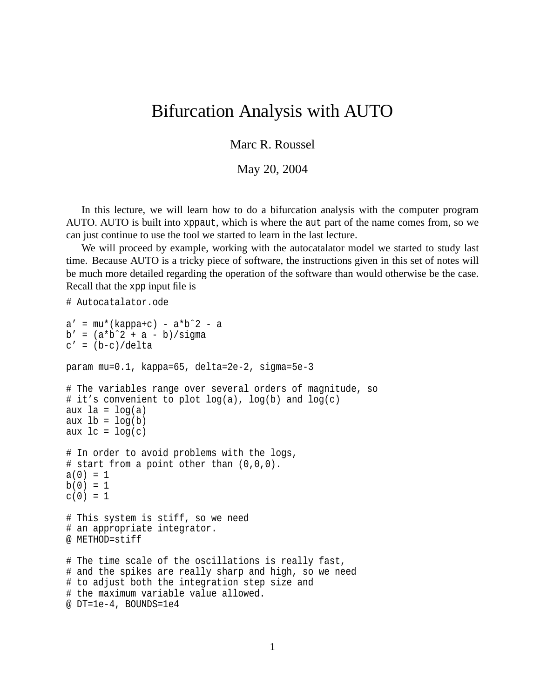## Bifurcation Analysis with AUTO

Marc R. Roussel

May 20, 2004

In this lecture, we will learn how to do a bifurcation analysis with the computer program AUTO. AUTO is built into xppaut, which is where the aut part of the name comes from, so we can just continue to use the tool we started to learn in the last lecture.

We will proceed by example, working with the autocatalator model we started to study last time. Because AUTO is a tricky piece of software, the instructions given in this set of notes will be much more detailed regarding the operation of the software than would otherwise be the case. Recall that the xpp input file is

```
# Autocatalator.ode
a' = mu*(kappa+c) - a*b^2 - ab' = (a * b^2 + a - b)/sigmac' = (b-c)/deltaparam mu=0.1, kappa=65, delta=2e-2, sigma=5e-3
# The variables range over several orders of magnitude, so
# it's convenient to plot log(a), log(b) and log(c)
aux la = log(a)aux lb = log(b)aux lc = log(c)# In order to avoid problems with the logs,
# start from a point other than (0,0,0).
a(0) = 1b(0) = 1c(0) = 1# This system is stiff, so we need
# an appropriate integrator.
@ METHOD=stiff
# The time scale of the oscillations is really fast,
# and the spikes are really sharp and high, so we need
# to adjust both the integration step size and
# the maximum variable value allowed.
@ DT=1e-4, BOUNDS=1e4
```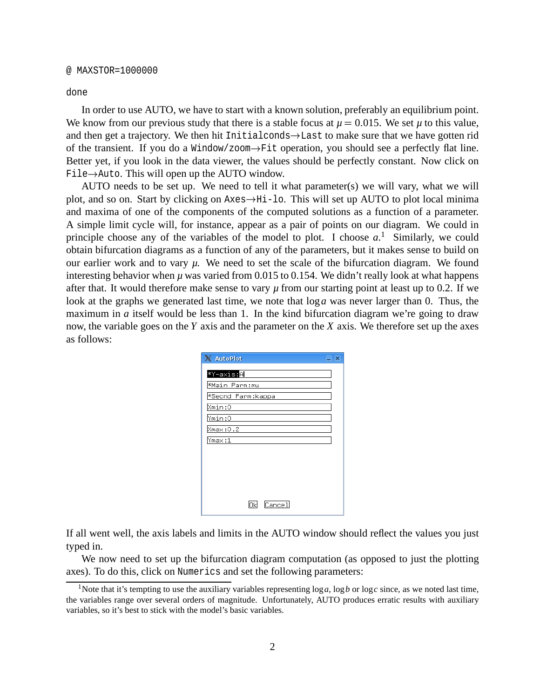## @ MAXSTOR=1000000

done

In order to use AUTO, we have to start with a known solution, preferably an equilibrium point. We know from our previous study that there is a stable focus at  $\mu = 0.015$ . We set  $\mu$  to this value, and then get a trajectory. We then hit Initialconds  $\rightarrow$  Last to make sure that we have gotten rid of the transient. If you do a Window/zoom- Fit operation, you should see a perfectly flat line. Better yet, if you look in the data viewer, the values should be perfectly constant. Now click on File- Auto. This will open up the AUTO window.

AUTO needs to be set up. We need to tell it what parameter(s) we will vary, what we will plot, and so on. Start by clicking on Axes  $\rightarrow$  Hi-lo. This will set up AUTO to plot local minima and maxima of one of the components of the computed solutions as a function of a parameter. A simple limit cycle will, for instance, appear as a pair of points on our diagram. We could in principle choose any of the variables of the model to plot. I choose *a*. <sup>1</sup> Similarly, we could obtain bifurcation diagrams as a function of any of the parameters, but it makes sense to build on our earlier work and to vary *µ*. We need to set the scale of the bifurcation diagram. We found interesting behavior when  $\mu$  was varied from 0.015 to 0.154. We didn't really look at what happens after that. It would therefore make sense to vary  $\mu$  from our starting point at least up to 0.2. If we look at the graphs we generated last time, we note that log*a* was never larger than 0. Thus, the maximum in *a* itself would be less than 1. In the kind bifurcation diagram we're going to draw now, the variable goes on the *Y* axis and the parameter on the *X* axis. We therefore set up the axes as follows:

| X AutoPlot           | Ιx |
|----------------------|----|
|                      |    |
| *Y-axis: <b>A</b>    |    |
| <b>*Main Parm:mu</b> |    |
| *Secnd Parm: kappa   |    |
| Xmin:0               |    |
| Ymin:0               |    |
| Xmax:0.2             |    |
| Ymax:1               |    |
|                      |    |
|                      |    |
|                      |    |
|                      |    |
|                      |    |
| Cancel<br>ΟkΙ        |    |

If all went well, the axis labels and limits in the AUTO window should reflect the values you just typed in.

We now need to set up the bifurcation diagram computation (as opposed to just the plotting axes). To do this, click on Numerics and set the following parameters:

<sup>&</sup>lt;sup>1</sup>Note that it's tempting to use the auxiliary variables representing  $\log a$ ,  $\log b$  or  $\log c$  since, as we noted last time, the variables range over several orders of magnitude. Unfortunately, AUTO produces erratic results with auxiliary variables, so it's best to stick with the model's basic variables.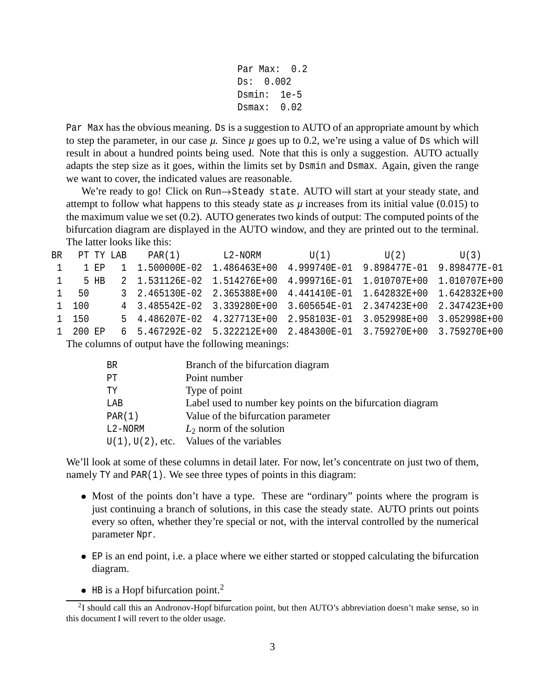```
Par Max: 0.2Ds: 0.002
Dsmin: 1e-5
Dsmax: 0.02
```
Par Max has the obvious meaning. Ds is a suggestion to AUTO of an appropriate amount by which to step the parameter, in our case  $\mu$ . Since  $\mu$  goes up to 0.2, we're using a value of Ds which will result in about a hundred points being used. Note that this is only a suggestion. AUTO actually adapts the step size as it goes, within the limits set by Dsmin and Dsmax. Again, given the range we want to cover, the indicated values are reasonable.

We're ready to go! Click on Run->Steady state. AUTO will start at your steady state, and attempt to follow what happens to this steady state as  $\mu$  increases from its initial value (0.015) to the maximum value we set (0.2). AUTO generates two kinds of output: The computed points of the bifurcation diagram are displayed in the AUTO window, and they are printed out to the terminal. The latter looks like this:

|                | BR PT TY LAB | PAR(1) L2-NORM |                                                                              | $U(1)$ $U(2)$ $U(3)$ |  |
|----------------|--------------|----------------|------------------------------------------------------------------------------|----------------------|--|
| $\overline{1}$ |              |                | 1 EP 1 1.500000E-02 1.486463E+00 4.999740E-01 9.898477E-01 9.898477E-01      |                      |  |
| 1              | 5 HB         |                | 2   1.531126E-02   1.514276E+00   4.999716E-01   1.010707E+00   1.010707E+00 |                      |  |
|                | 1 50         |                | 3  2.465130E-02  2.365388E+00  4.441410E-01  1.642832E+00  1.642832E+00      |                      |  |
|                | 1 100        |                | 4 3.485542E-02 3.339280E+00 3.605654E-01 2.347423E+00 2.347423E+00           |                      |  |
|                | 1 150        |                | 5 4.486207E-02 4.327713E+00 2.958103E-01 3.052998E+00 3.052998E+00           |                      |  |
|                | 1 200 EP     |                | 6 5.467292E-02 5.322212E+00 2.484300E-01 3.759270E+00 3.759270E+00           |                      |  |

The columns of output have the following meanings:

| BR.     | Branch of the bifurcation diagram                          |
|---------|------------------------------------------------------------|
| PT.     | Point number                                               |
| TҮ      | Type of point                                              |
| LAB     | Label used to number key points on the bifurcation diagram |
| PAR(1)  | Value of the bifurcation parameter                         |
| L2-NORM | $L_2$ norm of the solution                                 |
|         | $U(1)$ , $U(2)$ , etc. Values of the variables             |

We'll look at some of these columns in detail later. For now, let's concentrate on just two of them, namely TY and PAR(1). We see three types of points in this diagram:

- Most of the points don't have a type. These are "ordinary" points where the program is just continuing a branch of solutions, in this case the steady state. AUTO prints out points every so often, whether they're special or not, with the interval controlled by the numerical parameter Npr.
- EP is an end point, i.e. a place where we either started or stopped calculating the bifurcation diagram.
- $\bullet$  HB is a Hopf bifurcation point.<sup>2</sup>

 $2I$  should call this an Andronov-Hopf bifurcation point, but then AUTO's abbreviation doesn't make sense, so in this document I will revert to the older usage.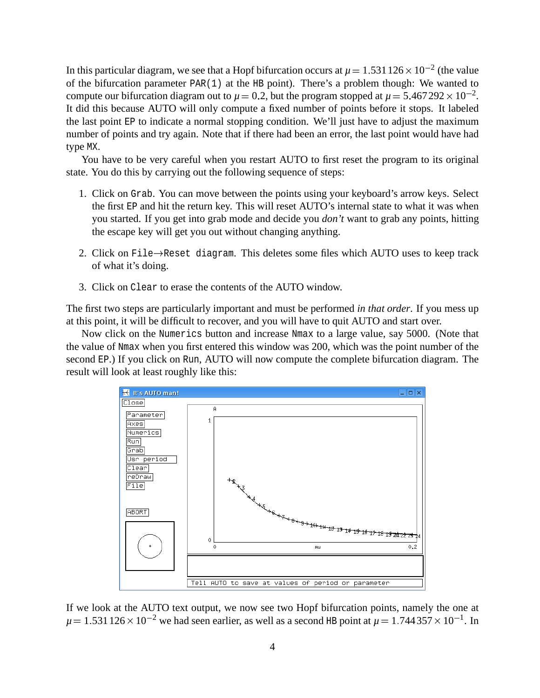In this particular diagram, we see that a Hopf bifurcation occurs at  $\mu = 1.531\,126 \times 10^{-2}$  (the value of the bifurcation parameter PAR(1) at the HB point). There's a problem though: We wanted to compute our bifurcation diagram out to  $\mu = 0.2$ , but the program stopped at  $\mu = 5.467292 \times 10^{-2}$ . It did this because AUTO will only compute a fixed number of points before it stops. It labeled the last point EP to indicate a normal stopping condition. We'll just have to adjust the maximum number of points and try again. Note that if there had been an error, the last point would have had type MX.

You have to be very careful when you restart AUTO to first reset the program to its original state. You do this by carrying out the following sequence of steps:

- 1. Click on Grab. You can move between the points using your keyboard's arrow keys. Select the first EP and hit the return key. This will reset AUTO's internal state to what it was when you started. If you get into grab mode and decide you *don't* want to grab any points, hitting the escape key will get you out without changing anything.
- 2. Click on File- Reset diagram. This deletes some files which AUTO uses to keep track of what it's doing.
- 3. Click on Clear to erase the contents of the AUTO window.

The first two steps are particularly important and must be performed *in that order*. If you mess up at this point, it will be difficult to recover, and you will have to quit AUTO and start over.

Now click on the Numerics button and increase Nmax to a large value, say 5000. (Note that the value of Nmax when you first entered this window was 200, which was the point number of the second EP.) If you click on Run, AUTO will now compute the complete bifurcation diagram. The result will look at least roughly like this:



If we look at the AUTO text output, we now see two Hopf bifurcation points, namely the one at  $\mu = 1.531\,126 \times 10^{-2}$  we had seen earlier, as well as a second HB point at  $\mu = 1.744\,357 \times 10^{-1}$ . In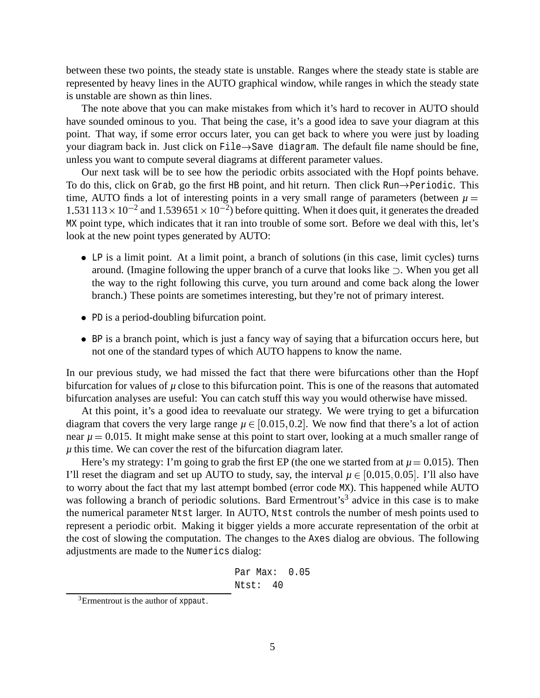between these two points, the steady state is unstable. Ranges where the steady state is stable are represented by heavy lines in the AUTO graphical window, while ranges in which the steady state is unstable are shown as thin lines.

The note above that you can make mistakes from which it's hard to recover in AUTO should have sounded ominous to you. That being the case, it's a good idea to save your diagram at this point. That way, if some error occurs later, you can get back to where you were just by loading your diagram back in. Just click on File- Save diagram. The default file name should be fine, unless you want to compute several diagrams at different parameter values.

Our next task will be to see how the periodic orbits associated with the Hopf points behave. To do this, click on Grab, go the first HB point, and hit return. Then click Run-Periodic. This time, AUTO finds a lot of interesting points in a very small range of parameters (between  $\mu =$  $1.531113 \times 10^{-2}$  and  $1.539651 \times 10^{-2}$ ) before quitting. When it does quit, it generates the dreaded MX point type, which indicates that it ran into trouble of some sort. Before we deal with this, let's look at the new point types generated by AUTO:

- LP is a limit point. At a limit point, a branch of solutions (in this case, limit cycles) turns around. (Imagine following the upper branch of a curve that looks like  $\supset$ . When you get all the way to the right following this curve, you turn around and come back along the lower branch.) These points are sometimes interesting, but they're not of primary interest.
- PD is a period-doubling bifurcation point.
- BP is a branch point, which is just a fancy way of saying that a bifurcation occurs here, but not one of the standard types of which AUTO happens to know the name.

In our previous study, we had missed the fact that there were bifurcations other than the Hopf bifurcation for values of  $\mu$  close to this bifurcation point. This is one of the reasons that automated bifurcation analyses are useful: You can catch stuff this way you would otherwise have missed.

At this point, it's a good idea to reevaluate our strategy. We were trying to get a bifurcation diagram that covers the very large range  $\mu \in [0.015, 0.2]$ . We now find that there's a lot of action near  $\mu$  = 0.015. It might make sense at this point to start over, looking at a much smaller range of  $\mu$  this time. We can cover the rest of the bifurcation diagram later.

Here's my strategy: I'm going to grab the first EP (the one we started from at  $\mu = 0.015$ ). Then I'll reset the diagram and set up AUTO to study, say, the interval  $\mu \in [0.015, 0.05]$ . I'll also have to worry about the fact that my last attempt bombed (error code MX). This happened while AUTO was following a branch of periodic solutions. Bard Ermentrout's<sup>3</sup> advice in this case is to make the numerical parameter Ntst larger. In AUTO, Ntst controls the number of mesh points used to represent a periodic orbit. Making it bigger yields a more accurate representation of the orbit at the cost of slowing the computation. The changes to the Axes dialog are obvious. The following adjustments are made to the Numerics dialog:

> Par Max: 0.05 Ntst: 40

<sup>&</sup>lt;sup>3</sup>Ermentrout is the author of xppaut.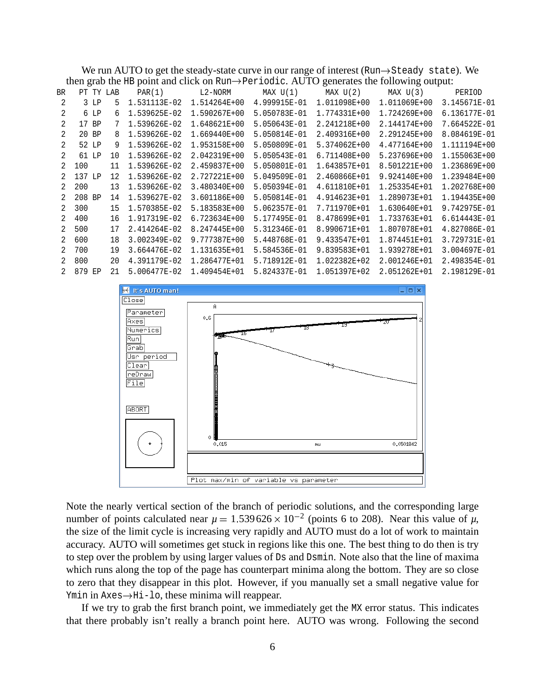We run AUTO to get the steady-state curve in our range of interest (Run->Steady state). We then grab the HB point and click on Run- Periodic. AUTO generates the following output:

| $\frac{1}{2}$ and $\frac{1}{2}$ is point and energy on real $\frac{1}{2}$ is $\frac{1}{2}$ is $\frac{1}{2}$ in $\frac{1}{2}$<br>S |        |        |             |              |              |              |                       |              |              |
|-----------------------------------------------------------------------------------------------------------------------------------|--------|--------|-------------|--------------|--------------|--------------|-----------------------|--------------|--------------|
| BR                                                                                                                                |        |        | PT TY LAB   | PAR(1)       | L2-NORM      |              | $MAX U(1)$ $MAX U(2)$ | MAX U(3)     | PERIOD       |
| 2                                                                                                                                 |        | $3$ LP | 5.          | 1.531113E-02 | 1.514264E+00 | 4.999915E-01 | 1.011098E+00          | 1.011069E+00 | 3.145671E-01 |
| 2                                                                                                                                 |        | 6 LP   | 6           | 1.539625E-02 | 1.590267E+00 | 5.050783E-01 | 1.774331E+00          | 1.724269E+00 | 6.136177E-01 |
| $\mathcal{L}$                                                                                                                     |        | 17 BP  | $7^{\circ}$ | 1.539626E-02 | 1.648621E+00 | 5.050643E-01 | 2.241218E+00          | 2.144174E+00 | 7.664522E-01 |
| 2                                                                                                                                 |        | 20 BP  | 8           | 1.539626E-02 | 1.669440E+00 | 5.050814E-01 | 2.409316E+00          | 2.291245E+00 | 8.084619E-01 |
| 2                                                                                                                                 |        | 52 LP  | 9           | 1.539626E-02 | 1.953158E+00 | 5.050809E-01 | 5.374062E+00          | 4.477164E+00 | 1.111194E+00 |
| 2                                                                                                                                 |        | 61 LP  | 10          | 1.539626E-02 | 2.042319E+00 | 5.050543E-01 | 6.711408E+00          | 5.237696E+00 | 1.155063E+00 |
| 2                                                                                                                                 | 100    |        | 11          | 1.539626E-02 | 2.459837E+00 | 5.050801E-01 | 1.643857E+01          | 8.501221E+00 | 1.236869E+00 |
| 2                                                                                                                                 | 137 LP |        | 12          | 1.539626E-02 | 2.727221E+00 | 5.049509E-01 | 2.460866E+01          | 9.924140E+00 | 1.239484E+00 |
| 2                                                                                                                                 | 200    |        | 13          | 1.539626E-02 | 3.480340E+00 | 5.050394E-01 | 4.611810E+01          | 1.253354E+01 | 1.202768E+00 |
| 2                                                                                                                                 | 208 BP |        | 14          | 1.539627E-02 | 3.601186E+00 | 5.050814E-01 | 4.914623E+01          | 1.289073E+01 | 1.194435E+00 |
| 2                                                                                                                                 | 300    |        | 15          | 1.570385E-02 | 5.183583E+00 | 5.062357E-01 | 7.711970E+01          | 1.630640E+01 | 9.742975E-01 |
| 2                                                                                                                                 | 400    |        | 16          | 1.917319E-02 | 6.723634E+00 | 5.177495E-01 | 8.478699E+01          | 1.733763E+01 | 6.614443E-01 |
| $\overline{2}$                                                                                                                    | 500    |        | 17          | 2.414264E-02 | 8.247445E+00 | 5.312346E-01 | 8.990671E+01          | 1.807078E+01 | 4.827086E-01 |
| 2                                                                                                                                 | 600    |        | 18          | 3.002349E-02 | 9.777387E+00 | 5.448768E-01 | 9.433547E+01          | 1.874451E+01 | 3.729731E-01 |
| $2^{\circ}$                                                                                                                       | 700    |        | 19          | 3.664476E-02 | 1.131635E+01 | 5.584536E-01 | 9.839583E+01          | 1.939278E+01 | 3.004697E-01 |
| 2                                                                                                                                 | 800    |        | 20          | 4.391179E-02 | 1.286477E+01 | 5.718912E-01 | 1.022382E+02          | 2.001246E+01 | 2.498354E-01 |
| $\overline{2}$                                                                                                                    | 879 EP |        | 21          | 5.006477E-02 | 1.409454E+01 | 5.824337E-01 | 1.051397E+02          | 2.051262E+01 | 2.198129E-01 |



Note the nearly vertical section of the branch of periodic solutions, and the corresponding large number of points calculated near  $\mu = 1.539626 \times 10^{-2}$  (points 6 to 208). Near this value of  $\mu$ , the size of the limit cycle is increasing very rapidly and AUTO must do a lot of work to maintain accuracy. AUTO will sometimes get stuck in regions like this one. The best thing to do then is try to step over the problem by using larger values of Ds and Dsmin. Note also that the line of maxima which runs along the top of the page has counterpart minima along the bottom. They are so close to zero that they disappear in this plot. However, if you manually set a small negative value for Ymin in Axes→Hi-lo, these minima will reappear.

If we try to grab the first branch point, we immediately get the MX error status. This indicates that there probably isn't really a branch point here. AUTO was wrong. Following the second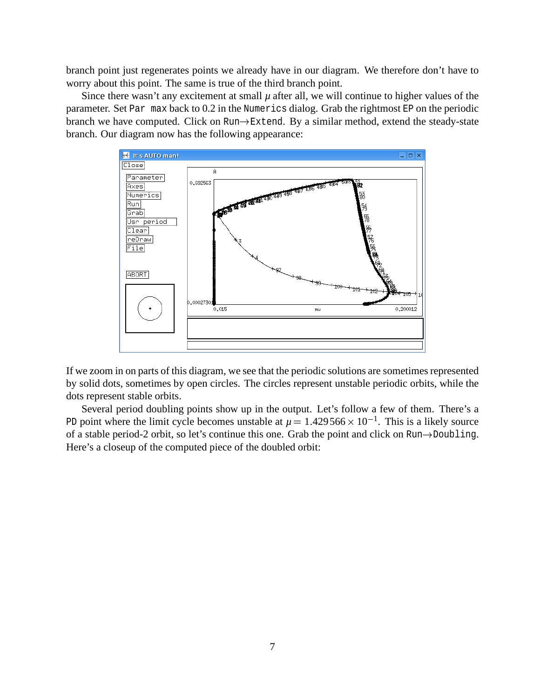branch point just regenerates points we already have in our diagram. We therefore don't have to worry about this point. The same is true of the third branch point.

Since there wasn't any excitement at small  $\mu$  after all, we will continue to higher values of the parameter. Set Par max back to 0.2 in the Numerics dialog. Grab the rightmost EP on the periodic branch we have computed. Click on Run $\rightarrow$ Extend. By a similar method, extend the steady-state branch. Our diagram now has the following appearance:



If we zoom in on parts of this diagram, we see that the periodic solutions are sometimes represented by solid dots, sometimes by open circles. The circles represent unstable periodic orbits, while the dots represent stable orbits.

Several period doubling points show up in the output. Let's follow a few of them. There's a PD point where the limit cycle becomes unstable at  $\mu = 1.429566 \times 10^{-1}$ . This is a likely source of a stable period-2 orbit, so let's continue this one. Grab the point and click on Run-Doubling. Here's a closeup of the computed piece of the doubled orbit: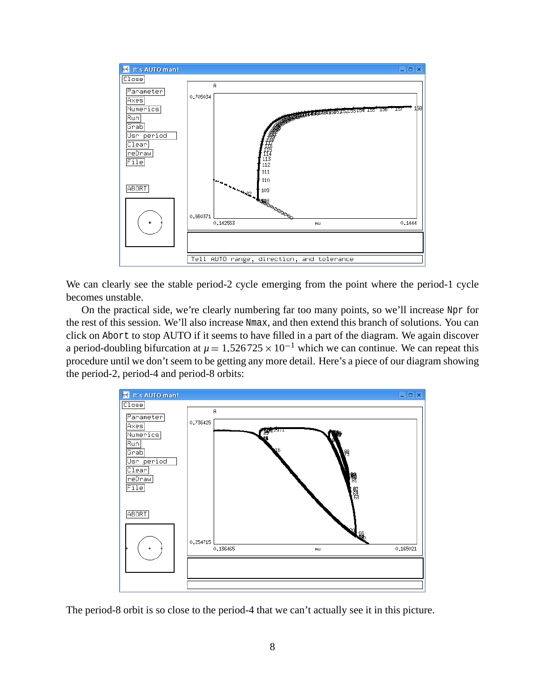

We can clearly see the stable period-2 cycle emerging from the point where the period-1 cycle becomes unstable.

On the practical side, we're clearly numbering far too many points, so we'll increase Npr for the rest of this session. We'll also increase Nmax, and then extend this branch of solutions. You can click on Abort to stop AUTO if it seems to have filled in a part of the diagram. We again discover a period-doubling bifurcation at  $\mu = 1.526725 \times 10^{-1}$  which we can continue. We can repeat this procedure until we don't seem to be getting any more detail. Here's a piece of our diagram showing the period-2, period-4 and period-8 orbits:



The period-8 orbit is so close to the period-4 that we can't actually see it in this picture.